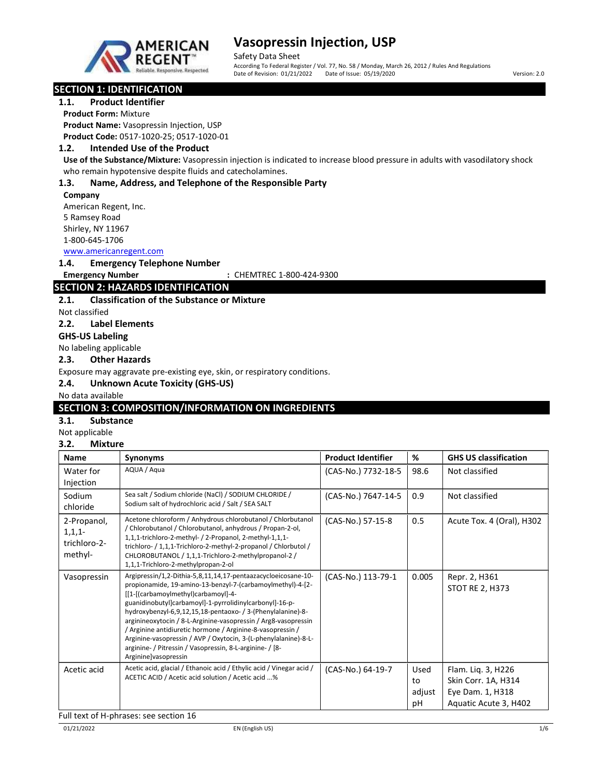

Safety Data Sheet

According To Federal Register / Vol. 77, No. 58 / Monday, March 26, 2012 / Rules And Regulations Date of Revision: 01/21/2022 Date of Issue: 05/19/2020 Version: 2.0

# SECTION 1: IDENTIFICATION

# 1.1. Product Identifier

Product Form: Mixture

Product Name: Vasopressin Injection, USP Product Code: 0517-1020-25; 0517-1020-01

## 1.2. Intended Use of the Product

Use of the Substance/Mixture: Vasopressin injection is indicated to increase blood pressure in adults with vasodilatory shock who remain hypotensive despite fluids and catecholamines.

## 1.3. Name, Address, and Telephone of the Responsible Party

#### Company

American Regent, Inc. 5 Ramsey Road Shirley, NY 11967 1-800-645-1706

# www.americanregent.com

1.4. Emergency Telephone Number

Emergency Number : CHEMTREC 1-800-424-9300

# SECTION 2: HAZARDS IDENTIFICATION

## 2.1. Classification of the Substance or Mixture

Not classified

2.2. Label Elements

GHS-US Labeling

No labeling applicable

### 2.3. Other Hazards

Exposure may aggravate pre-existing eye, skin, or respiratory conditions.

### 2.4. Unknown Acute Toxicity (GHS-US)

### No data available

# SECTION 3: COMPOSITION/INFORMATION ON INGREDIENTS

# 3.1. Substance

Not applicable

# 3.2. Mixture

| Name                                                | <b>Synonyms</b>                                                                                                                                                                                                                                                                                                                                                                                                                                                                                                                                                                     | <b>Product Identifier</b> | %                          | <b>GHS US classification</b>                                                           |
|-----------------------------------------------------|-------------------------------------------------------------------------------------------------------------------------------------------------------------------------------------------------------------------------------------------------------------------------------------------------------------------------------------------------------------------------------------------------------------------------------------------------------------------------------------------------------------------------------------------------------------------------------------|---------------------------|----------------------------|----------------------------------------------------------------------------------------|
| Water for<br>Injection                              | AQUA / Agua                                                                                                                                                                                                                                                                                                                                                                                                                                                                                                                                                                         | (CAS-No.) 7732-18-5       | 98.6                       | Not classified                                                                         |
| Sodium<br>chloride                                  | Sea salt / Sodium chloride (NaCl) / SODIUM CHLORIDE /<br>Sodium salt of hydrochloric acid / Salt / SEA SALT                                                                                                                                                                                                                                                                                                                                                                                                                                                                         | (CAS-No.) 7647-14-5       | 0.9                        | Not classified                                                                         |
| 2-Propanol,<br>$1,1,1$ -<br>trichloro-2-<br>methyl- | Acetone chloroform / Anhydrous chlorobutanol / Chlorbutanol<br>/ Chlorobutanol / Chlorobutanol, anhydrous / Propan-2-ol,<br>1,1,1-trichloro-2-methyl- / 2-Propanol, 2-methyl-1,1,1-<br>trichloro- / 1,1,1-Trichloro-2-methyl-2-propanol / Chlorbutol /<br>CHLOROBUTANOL / 1,1,1-Trichloro-2-methylpropanol-2 /<br>1,1,1-Trichloro-2-methylpropan-2-ol                                                                                                                                                                                                                               | (CAS-No.) 57-15-8         | 0.5                        | Acute Tox. 4 (Oral), H302                                                              |
| Vasopressin                                         | Argipressin/1,2-Dithia-5,8,11,14,17-pentaazacycloeicosane-10-<br>propionamide, 19-amino-13-benzyl-7-(carbamoylmethyl)-4-[2-<br>[[1-[(carbamoylmethyl)carbamoyl]-4-<br>guanidinobutyl]carbamoyl]-1-pyrrolidinylcarbonyl]-16-p-<br>hydroxybenzyl-6,9,12,15,18-pentaoxo- / 3-(Phenylalanine)-8-<br>arginineoxytocin / 8-L-Arginine-vasopressin / Arg8-vasopressin<br>/ Arginine antidiuretic hormone / Arginine-8-vasopressin /<br>Arginine-vasopressin / AVP / Oxytocin, 3-(L-phenylalanine)-8-L-<br>arginine- / Pitressin / Vasopressin, 8-L-arginine- / [8-<br>Arginine]vasopressin | (CAS-No.) 113-79-1        | 0.005                      | Repr. 2, H361<br>STOT RE 2, H373                                                       |
| Acetic acid                                         | Acetic acid, glacial / Ethanoic acid / Ethylic acid / Vinegar acid /<br>ACETIC ACID / Acetic acid solution / Acetic acid %                                                                                                                                                                                                                                                                                                                                                                                                                                                          | (CAS-No.) 64-19-7         | Used<br>to<br>adjust<br>рH | Flam. Lig. 3, H226<br>Skin Corr. 1A, H314<br>Eye Dam. 1, H318<br>Aquatic Acute 3, H402 |

Full text of H-phrases: see section 16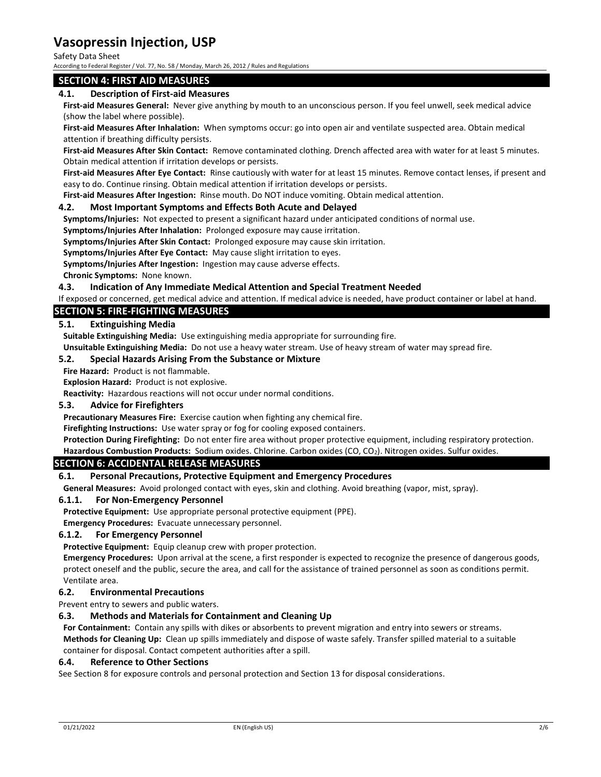Safety Data Sheet

According to Federal Register / Vol. 77, No. 58 / Monday, March 26, 2012 / Rules and Regulations

## SECTION 4: FIRST AID MEASURES

### 4.1. Description of First-aid Measures

First-aid Measures General: Never give anything by mouth to an unconscious person. If you feel unwell, seek medical advice (show the label where possible).

First-aid Measures After Inhalation: When symptoms occur: go into open air and ventilate suspected area. Obtain medical attention if breathing difficulty persists.

First-aid Measures After Skin Contact: Remove contaminated clothing. Drench affected area with water for at least 5 minutes. Obtain medical attention if irritation develops or persists.

First-aid Measures After Eye Contact: Rinse cautiously with water for at least 15 minutes. Remove contact lenses, if present and easy to do. Continue rinsing. Obtain medical attention if irritation develops or persists.

First-aid Measures After Ingestion: Rinse mouth. Do NOT induce vomiting. Obtain medical attention.

### 4.2. Most Important Symptoms and Effects Both Acute and Delayed

Symptoms/Injuries: Not expected to present a significant hazard under anticipated conditions of normal use.

Symptoms/Injuries After Inhalation: Prolonged exposure may cause irritation.

Symptoms/Injuries After Skin Contact: Prolonged exposure may cause skin irritation.

Symptoms/Injuries After Eye Contact: May cause slight irritation to eyes.

Symptoms/Injuries After Ingestion: Ingestion may cause adverse effects.

Chronic Symptoms: None known.

#### 4.3. Indication of Any Immediate Medical Attention and Special Treatment Needed

If exposed or concerned, get medical advice and attention. If medical advice is needed, have product container or label at hand.

## SECTION 5: FIRE-FIGHTING MEASURES

#### 5.1. Extinguishing Media

Suitable Extinguishing Media: Use extinguishing media appropriate for surrounding fire.

Unsuitable Extinguishing Media: Do not use a heavy water stream. Use of heavy stream of water may spread fire.

#### 5.2. Special Hazards Arising From the Substance or Mixture

Fire Hazard: Product is not flammable.

Explosion Hazard: Product is not explosive.

Reactivity: Hazardous reactions will not occur under normal conditions.

#### 5.3. Advice for Firefighters

Precautionary Measures Fire: Exercise caution when fighting any chemical fire.

Firefighting Instructions: Use water spray or fog for cooling exposed containers.

Protection During Firefighting: Do not enter fire area without proper protective equipment, including respiratory protection. Hazardous Combustion Products: Sodium oxides. Chlorine. Carbon oxides (CO, CO<sub>2</sub>). Nitrogen oxides. Sulfur oxides.

### SECTION 6: ACCIDENTAL RELEASE MEASURES

#### 6.1. Personal Precautions, Protective Equipment and Emergency Procedures

General Measures: Avoid prolonged contact with eyes, skin and clothing. Avoid breathing (vapor, mist, spray).

#### 6.1.1. For Non-Emergency Personnel

Protective Equipment: Use appropriate personal protective equipment (PPE).

Emergency Procedures: Evacuate unnecessary personnel.

#### 6.1.2. For Emergency Personnel

Protective Equipment: Equip cleanup crew with proper protection.

Emergency Procedures: Upon arrival at the scene, a first responder is expected to recognize the presence of dangerous goods, protect oneself and the public, secure the area, and call for the assistance of trained personnel as soon as conditions permit. Ventilate area.

#### 6.2. Environmental Precautions

Prevent entry to sewers and public waters.

#### 6.3. Methods and Materials for Containment and Cleaning Up

For Containment: Contain any spills with dikes or absorbents to prevent migration and entry into sewers or streams. Methods for Cleaning Up: Clean up spills immediately and dispose of waste safely. Transfer spilled material to a suitable container for disposal. Contact competent authorities after a spill.

#### 6.4. Reference to Other Sections

See Section 8 for exposure controls and personal protection and Section 13 for disposal considerations.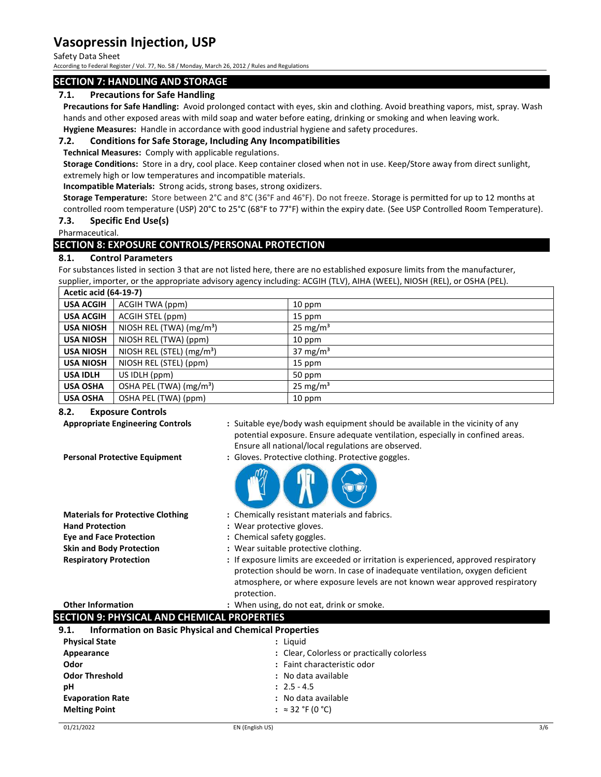Safety Data Sheet

According to Federal Register / Vol. 77, No. 58 / Monday, March 26, 2012 / Rules and Regulations

## SECTION 7: HANDLING AND STORAGE

## 7.1. Precautions for Safe Handling

Precautions for Safe Handling: Avoid prolonged contact with eyes, skin and clothing. Avoid breathing vapors, mist, spray. Wash hands and other exposed areas with mild soap and water before eating, drinking or smoking and when leaving work.

Hygiene Measures: Handle in accordance with good industrial hygiene and safety procedures.

# 7.2. Conditions for Safe Storage, Including Any Incompatibilities

Technical Measures: Comply with applicable regulations.

Storage Conditions: Store in a dry, cool place. Keep container closed when not in use. Keep/Store away from direct sunlight, extremely high or low temperatures and incompatible materials.

Incompatible Materials: Strong acids, strong bases, strong oxidizers.

Storage Temperature: Store between 2°C and 8°C (36°F and 46°F). Do not freeze. Storage is permitted for up to 12 months at controlled room temperature (USP) 20°C to 25°C (68°F to 77°F) within the expiry date. (See USP Controlled Room Temperature).

### 7.3. Specific End Use(s)

Pharmaceutical.

# SECTION 8: EXPOSURE CONTROLS/PERSONAL PROTECTION

## 8.1. Control Parameters

For substances listed in section 3 that are not listed here, there are no established exposure limits from the manufacturer, supplier, importer, or the appropriate advisory agency including: ACGIH (TLV), AIHA (WEEL), NIOSH (REL), or OSHA (PEL).

| <b>Acetic acid (64-19-7)</b> |                                       |                      |
|------------------------------|---------------------------------------|----------------------|
| <b>USA ACGIH</b>             | ACGIH TWA (ppm)                       | 10 ppm               |
| <b>USA ACGIH</b>             | ACGIH STEL (ppm)                      | 15 ppm               |
| <b>USA NIOSH</b>             | NIOSH REL (TWA) (mg/m <sup>3</sup> )  | 25 mg/m <sup>3</sup> |
| <b>USA NIOSH</b>             | NIOSH REL (TWA) (ppm)                 | $10$ ppm             |
| <b>USA NIOSH</b>             | NIOSH REL (STEL) (mg/m <sup>3</sup> ) | 37 mg/m <sup>3</sup> |
| <b>USA NIOSH</b>             | NIOSH REL (STEL) (ppm)                | 15 ppm               |
| <b>USA IDLH</b>              | US IDLH (ppm)                         | 50 ppm               |
| <b>USA OSHA</b>              | OSHA PEL (TWA) (mg/m <sup>3</sup> )   | 25 mg/m <sup>3</sup> |
| <b>USA OSHA</b>              | OSHA PEL (TWA) (ppm)                  | 10 ppm               |

### 8.2. Exposure Controls

Appropriate Engineering Controls : Suitable eye/body wash equipment should be available in the vicinity of any potential exposure. Ensure adequate ventilation, especially in confined areas. Ensure all national/local regulations are observed.

Personal Protective Equipment : Gloves. Protective clothing. Protective goggles.

- 
- Hand Protection : Wear protective gloves. Eye and Face Protection : Chemical safety goggles.
- **Materials for Protective Clothing : Chemically resistant materials and fabrics.** 
	-
	-
- Skin and Body Protection : Wear suitable protective clothing.
- Respiratory Protection : If exposure limits are exceeded or irritation is experienced, approved respiratory protection should be worn. In case of inadequate ventilation, oxygen deficient atmosphere, or where exposure levels are not known wear approved respiratory protection.
- Other Information **contains the Contract Contract Contract Contract Contract Contract Contract Contract Contract Contract Contract Contract Contract Contract Contract Contract Contract Contract Contract Contract Contract C**

# SECTION 9: PHYSICAL AND CHEMICAL PROPERTIES

| <b>Information on Basic Physical and Chemical Properties</b><br>9.1. |                                             |
|----------------------------------------------------------------------|---------------------------------------------|
| <b>Physical State</b>                                                | : Liguid                                    |
| Appearance                                                           | : Clear, Colorless or practically colorless |
| Odor                                                                 | : Faint characteristic odor                 |
| <b>Odor Threshold</b>                                                | : No data available                         |
| рH                                                                   | $: 2.5 - 4.5$                               |
| <b>Evaporation Rate</b>                                              | : No data available                         |
| <b>Melting Point</b>                                                 | : $\approx$ 32 °F (0 °C)                    |
|                                                                      |                                             |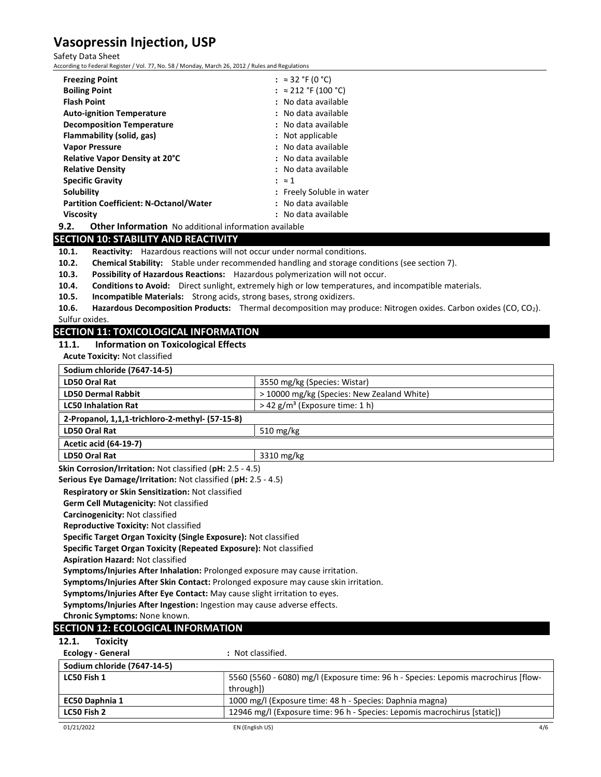#### Safety Data Sheet

According to Federal Register / Vol. 77, No. 58 / Monday, March 26, 2012 / Rules and Regulations

| <b>Freezing Point</b>                                                | : $\approx$ 32 °F (0 °C)    |
|----------------------------------------------------------------------|-----------------------------|
| <b>Boiling Point</b>                                                 | : $\approx$ 212 °F (100 °C) |
| <b>Flash Point</b>                                                   | : No data available         |
| <b>Auto-ignition Temperature</b>                                     | : No data available         |
| <b>Decomposition Temperature</b>                                     | : No data available         |
| Flammability (solid, gas)                                            | : Not applicable            |
| <b>Vapor Pressure</b>                                                | : No data available         |
| Relative Vapor Density at 20°C                                       | : No data available         |
| <b>Relative Density</b>                                              | : No data available         |
| <b>Specific Gravity</b>                                              | : z1                        |
| Solubility                                                           | : Freely Soluble in water   |
| <b>Partition Coefficient: N-Octanol/Water</b>                        | : No data available         |
| <b>Viscosity</b>                                                     | : No data available         |
| <b>Other Information</b> No additional information available<br>9.2. |                             |

# SECTION 10: STABILITY AND REACTIVITY

10.1. Reactivity: Hazardous reactions will not occur under normal conditions.

10.2. Chemical Stability: Stable under recommended handling and storage conditions (see section 7).

- 10.3. Possibility of Hazardous Reactions: Hazardous polymerization will not occur.
- 10.4. Conditions to Avoid: Direct sunlight, extremely high or low temperatures, and incompatible materials.
- 10.5. Incompatible Materials: Strong acids, strong bases, strong oxidizers.

10.6. Hazardous Decomposition Products: Thermal decomposition may produce: Nitrogen oxides. Carbon oxides (CO, CO<sub>2</sub>). Sulfur oxides.

## SECTION 11: TOXICOLOGICAL INFORMATION

## 11.1. Information on Toxicological Effects

Acute Toxicity: Not classified

| Sodium chloride (7647-14-5)                                                         |                                                                                    |
|-------------------------------------------------------------------------------------|------------------------------------------------------------------------------------|
| LD50 Oral Rat                                                                       | 3550 mg/kg (Species: Wistar)                                                       |
| <b>LD50 Dermal Rabbit</b>                                                           | > 10000 mg/kg (Species: New Zealand White)                                         |
| <b>LC50 Inhalation Rat</b>                                                          | $>$ 42 g/m <sup>3</sup> (Exposure time: 1 h)                                       |
| 2-Propanol, 1,1,1-trichloro-2-methyl- (57-15-8)                                     |                                                                                    |
| <b>LD50 Oral Rat</b>                                                                | 510 mg/kg                                                                          |
| <b>Acetic acid (64-19-7)</b>                                                        |                                                                                    |
| LD50 Oral Rat                                                                       | 3310 mg/kg                                                                         |
| Skin Corrosion/Irritation: Not classified (pH: 2.5 - 4.5)                           |                                                                                    |
| Serious Eye Damage/Irritation: Not classified (pH: 2.5 - 4.5)                       |                                                                                    |
| Respiratory or Skin Sensitization: Not classified                                   |                                                                                    |
| Germ Cell Mutagenicity: Not classified                                              |                                                                                    |
| Carcinogenicity: Not classified                                                     |                                                                                    |
| <b>Reproductive Toxicity: Not classified</b>                                        |                                                                                    |
| Specific Target Organ Toxicity (Single Exposure): Not classified                    |                                                                                    |
| Specific Target Organ Toxicity (Repeated Exposure): Not classified                  |                                                                                    |
| <b>Aspiration Hazard: Not classified</b>                                            |                                                                                    |
| Symptoms/Injuries After Inhalation: Prolonged exposure may cause irritation.        |                                                                                    |
| Symptoms/Injuries After Skin Contact: Prolonged exposure may cause skin irritation. |                                                                                    |
| Symptoms/Injuries After Eye Contact: May cause slight irritation to eyes.           |                                                                                    |
| Symptoms/Injuries After Ingestion: Ingestion may cause adverse effects.             |                                                                                    |
| Chronic Symptoms: None known.                                                       |                                                                                    |
| <b>SECTION 12: ECOLOGICAL INFORMATION</b>                                           |                                                                                    |
| 12.1.<br><b>Toxicity</b>                                                            |                                                                                    |
| <b>Ecology - General</b>                                                            | : Not classified.                                                                  |
| Sodium chloride (7647-14-5)                                                         |                                                                                    |
| LC50 Fish 1                                                                         | 5560 (5560 - 6080) mg/l (Exposure time: 96 h - Species: Lepomis macrochirus [flow- |
|                                                                                     | through])                                                                          |
| EC50 Daphnia 1                                                                      | 1000 mg/l (Exposure time: 48 h - Species: Daphnia magna)                           |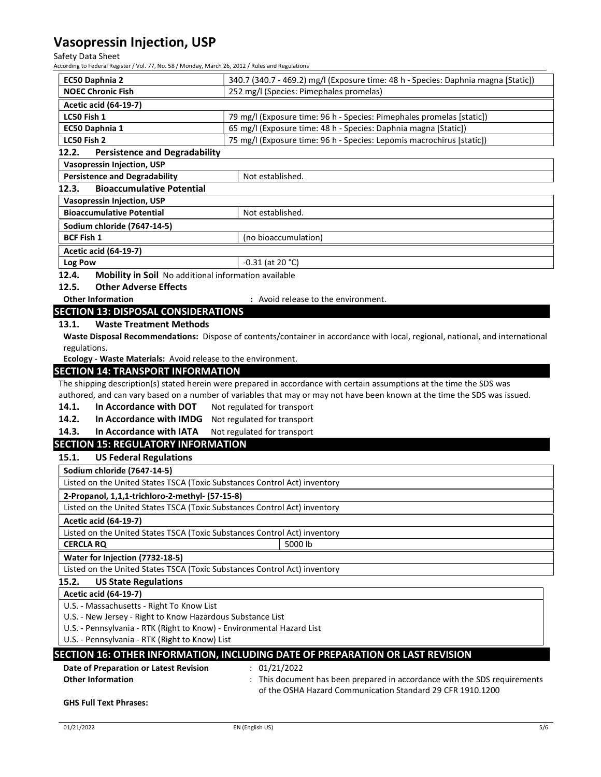## Safety Data Sheet

According to Federal Register / Vol. 77, No. 58 / Monday, March 26, 2012 / Rules and Regulations

| EC50 Daphnia 2                                                            | 340.7 (340.7 - 469.2) mg/l (Exposure time: 48 h - Species: Daphnia magna [Static])                                            |  |
|---------------------------------------------------------------------------|-------------------------------------------------------------------------------------------------------------------------------|--|
| <b>NOEC Chronic Fish</b>                                                  | 252 mg/l (Species: Pimephales promelas)                                                                                       |  |
| <b>Acetic acid (64-19-7)</b>                                              |                                                                                                                               |  |
| LC50 Fish 1                                                               | 79 mg/l (Exposure time: 96 h - Species: Pimephales promelas [static])                                                         |  |
| EC50 Daphnia 1                                                            | 65 mg/l (Exposure time: 48 h - Species: Daphnia magna [Static])                                                               |  |
| LC50 Fish 2                                                               | 75 mg/l (Exposure time: 96 h - Species: Lepomis macrochirus [static])                                                         |  |
| 12.2.<br><b>Persistence and Degradability</b>                             |                                                                                                                               |  |
| <b>Vasopressin Injection, USP</b>                                         |                                                                                                                               |  |
| <b>Persistence and Degradability</b>                                      | Not established.                                                                                                              |  |
| <b>Bioaccumulative Potential</b><br>12.3.                                 |                                                                                                                               |  |
| <b>Vasopressin Injection, USP</b>                                         |                                                                                                                               |  |
| <b>Bioaccumulative Potential</b><br>Not established.                      |                                                                                                                               |  |
| Sodium chloride (7647-14-5)                                               |                                                                                                                               |  |
| <b>BCF Fish 1</b>                                                         | (no bioaccumulation)                                                                                                          |  |
| <b>Acetic acid (64-19-7)</b>                                              |                                                                                                                               |  |
| Log Pow                                                                   | $-0.31$ (at 20 °C)                                                                                                            |  |
| 12.4.<br>Mobility in Soil No additional information available             |                                                                                                                               |  |
| <b>Other Adverse Effects</b><br>12.5.                                     |                                                                                                                               |  |
| <b>Other Information</b>                                                  | : Avoid release to the environment.                                                                                           |  |
| <b>SECTION 13: DISPOSAL CONSIDERATIONS</b>                                |                                                                                                                               |  |
| <b>Waste Treatment Methods</b><br>13.1.                                   |                                                                                                                               |  |
|                                                                           | Waste Disposal Recommendations: Dispose of contents/container in accordance with local, regional, national, and international |  |
| regulations.                                                              |                                                                                                                               |  |
| Ecology - Waste Materials: Avoid release to the environment.              |                                                                                                                               |  |
| <b>SECTION 14: TRANSPORT INFORMATION</b>                                  |                                                                                                                               |  |
|                                                                           | The shipping description(s) stated herein were prepared in accordance with certain assumptions at the time the SDS was        |  |
|                                                                           | authored, and can vary based on a number of variables that may or may not have been known at the time the SDS was issued.     |  |
| In Accordance with DOT<br>14.1.                                           | Not regulated for transport                                                                                                   |  |
| 14.2.<br>In Accordance with IMDG                                          | Not regulated for transport                                                                                                   |  |
| 14.3.<br>In Accordance with IATA                                          | Not regulated for transport                                                                                                   |  |
| <b>SECTION 15: REGULATORY INFORMATION</b>                                 |                                                                                                                               |  |
| <b>US Federal Regulations</b><br>15.1.                                    |                                                                                                                               |  |
| Sodium chloride (7647-14-5)                                               |                                                                                                                               |  |
| Listed on the United States TSCA (Toxic Substances Control Act) inventory |                                                                                                                               |  |
| 2-Propanol, 1,1,1-trichloro-2-methyl- (57-15-8)                           |                                                                                                                               |  |
| Listed on the United States TSCA (Toxic Substances Control Act) inventory |                                                                                                                               |  |
| <b>Acetic acid (64-19-7)</b>                                              |                                                                                                                               |  |
| Listed on the United States TSCA (Toxic Substances Control Act) inventory |                                                                                                                               |  |
| <b>CERCLA RQ</b>                                                          | 5000 lb                                                                                                                       |  |
| Water for Injection (7732-18-5)                                           |                                                                                                                               |  |
| Listed on the United States TSCA (Toxic Substances Control Act) inventory |                                                                                                                               |  |
| 15.2.<br><b>US State Regulations</b>                                      |                                                                                                                               |  |
| <b>Acetic acid (64-19-7)</b>                                              |                                                                                                                               |  |
| U.S. - Massachusetts - Right To Know List                                 |                                                                                                                               |  |
| U.S. - New Jersey - Right to Know Hazardous Substance List                |                                                                                                                               |  |
| U.S. - Pennsylvania - RTK (Right to Know) - Environmental Hazard List     |                                                                                                                               |  |
| U.S. - Pennsylvania - RTK (Right to Know) List                            |                                                                                                                               |  |
|                                                                           | SECTION 16: OTHER INFORMATION, INCLUDING DATE OF PREPARATION OR LAST REVISION                                                 |  |
| Date of Preparation or Latest Revision                                    | : 01/21/2022                                                                                                                  |  |
| <b>Other Information</b>                                                  | : This document has been prepared in accordance with the SDS requirements                                                     |  |
|                                                                           | of the OSHA Hazard Communication Standard 29 CFR 1910.1200                                                                    |  |
| <b>GHS Full Text Phrases:</b>                                             |                                                                                                                               |  |